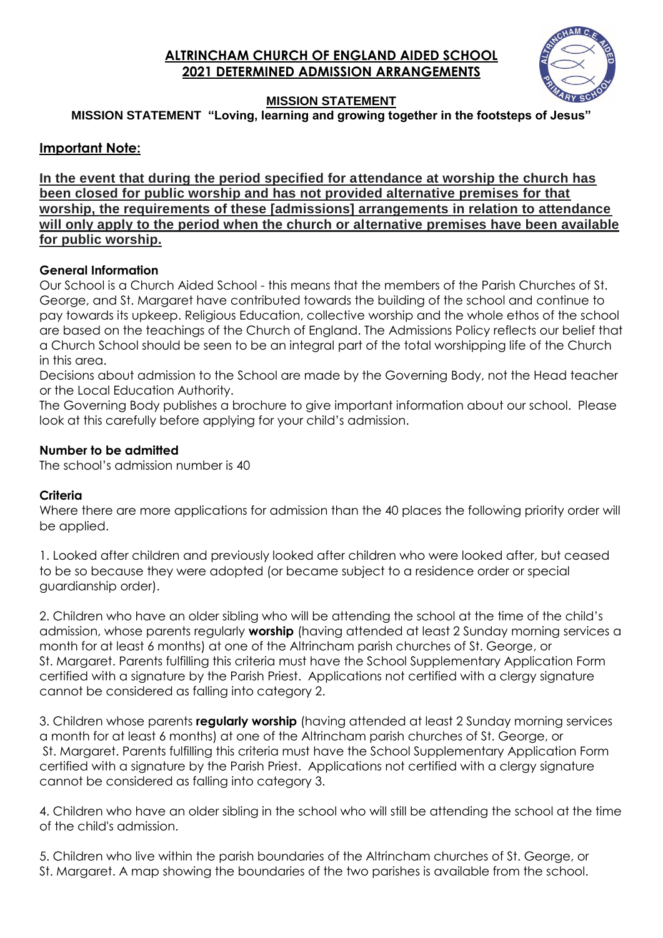# **ALTRINCHAM CHURCH OF ENGLAND AIDED SCHOOL 2021 DETERMINED ADMISSION ARRANGEMENTS**



# **MISSION STATEMENT**

**MISSION STATEMENT "Loving, learning and growing together in the footsteps of Jesus"**

# **Important Note:**

**In the event that during the period specified for attendance at worship the church has been closed for public worship and has not provided alternative premises for that worship, the requirements of these [admissions] arrangements in relation to attendance will only apply to the period when the church or alternative premises have been available for public worship.**

## **General Information**

Our School is a Church Aided School - this means that the members of the Parish Churches of St. George, and St. Margaret have contributed towards the building of the school and continue to pay towards its upkeep. Religious Education, collective worship and the whole ethos of the school are based on the teachings of the Church of England. The Admissions Policy reflects our belief that a Church School should be seen to be an integral part of the total worshipping life of the Church in this area.

Decisions about admission to the School are made by the Governing Body, not the Head teacher or the Local Education Authority.

The Governing Body publishes a brochure to give important information about our school. Please look at this carefully before applying for your child's admission.

## **Number to be admitted**

The school's admission number is 40

# **Criteria**

Where there are more applications for admission than the 40 places the following priority order will be applied.

1. Looked after children and previously looked after children who were looked after, but ceased to be so because they were adopted (or became subject to a residence order or special guardianship order).

2. Children who have an older sibling who will be attending the school at the time of the child's admission, whose parents regularly **worship** (having attended at least 2 Sunday morning services a month for at least 6 months) at one of the Altrincham parish churches of St. George, or St. Margaret. Parents fulfilling this criteria must have the School Supplementary Application Form certified with a signature by the Parish Priest. Applications not certified with a clergy signature cannot be considered as falling into category 2.

3. Children whose parents **regularly worship** (having attended at least 2 Sunday morning services a month for at least 6 months) at one of the Altrincham parish churches of St. George, or St. Margaret. Parents fulfilling this criteria must have the School Supplementary Application Form certified with a signature by the Parish Priest. Applications not certified with a clergy signature cannot be considered as falling into category 3.

4. Children who have an older sibling in the school who will still be attending the school at the time of the child's admission.

5. Children who live within the parish boundaries of the Altrincham churches of St. George, or St. Margaret. A map showing the boundaries of the two parishes is available from the school.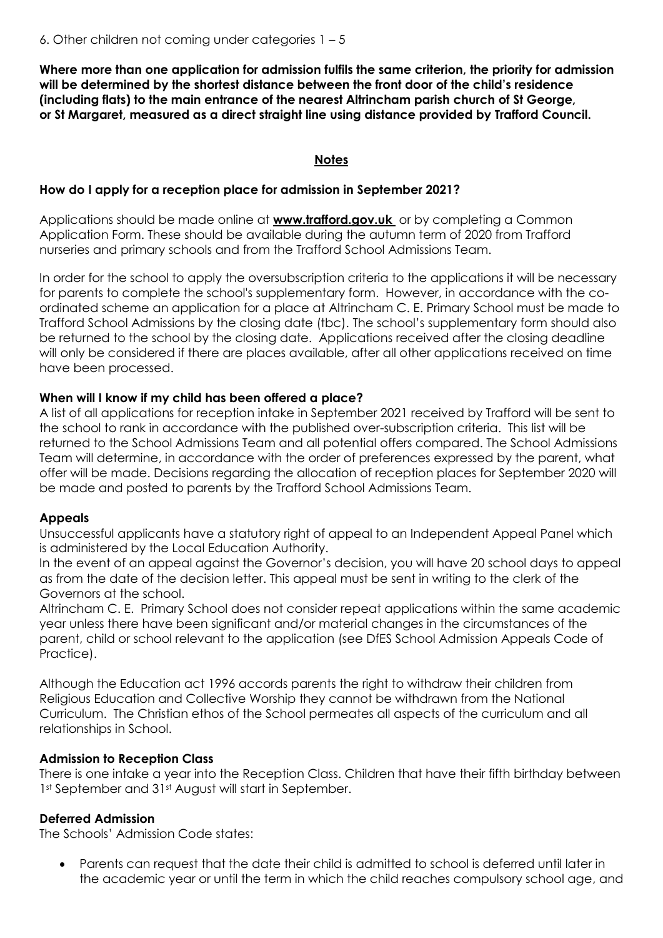**Where more than one application for admission fulfils the same criterion, the priority for admission will be determined by the shortest distance between the front door of the child's residence (including flats) to the main entrance of the nearest Altrincham parish church of St George, or St Margaret, measured as a direct straight line using distance provided by Trafford Council.**

# **Notes**

#### **How do I apply for a reception place for admission in September 2021?**

Applications should be made online at **[www.trafford.gov.uk](http://10.1.150.11/exchweb/bin/redir.asp?URL=http://www.trafford.gov.uk/)** or by completing a Common Application Form. These should be available during the autumn term of 2020 from Trafford nurseries and primary schools and from the Trafford School Admissions Team.

In order for the school to apply the oversubscription criteria to the applications it will be necessary for parents to complete the school's supplementary form. However, in accordance with the coordinated scheme an application for a place at Altrincham C. E. Primary School must be made to Trafford School Admissions by the closing date (tbc). The school's supplementary form should also be returned to the school by the closing date. Applications received after the closing deadline will only be considered if there are places available, after all other applications received on time have been processed.

## **When will I know if my child has been offered a place?**

A list of all applications for reception intake in September 2021 received by Trafford will be sent to the school to rank in accordance with the published over-subscription criteria. This list will be returned to the School Admissions Team and all potential offers compared. The School Admissions Team will determine, in accordance with the order of preferences expressed by the parent, what offer will be made. Decisions regarding the allocation of reception places for September 2020 will be made and posted to parents by the Trafford School Admissions Team.

#### **Appeals**

Unsuccessful applicants have a statutory right of appeal to an Independent Appeal Panel which is administered by the Local Education Authority.

In the event of an appeal against the Governor's decision, you will have 20 school days to appeal as from the date of the decision letter. This appeal must be sent in writing to the clerk of the Governors at the school.

Altrincham C. E. Primary School does not consider repeat applications within the same academic year unless there have been significant and/or material changes in the circumstances of the parent, child or school relevant to the application (see DfES School Admission Appeals Code of Practice).

Although the Education act 1996 accords parents the right to withdraw their children from Religious Education and Collective Worship they cannot be withdrawn from the National Curriculum. The Christian ethos of the School permeates all aspects of the curriculum and all relationships in School.

#### **Admission to Reception Class**

There is one intake a year into the Reception Class. Children that have their fifth birthday between 1st September and 31st August will start in September.

#### **Deferred Admission**

The Schools' Admission Code states:

 Parents can request that the date their child is admitted to school is deferred until later in the academic year or until the term in which the child reaches compulsory school age, and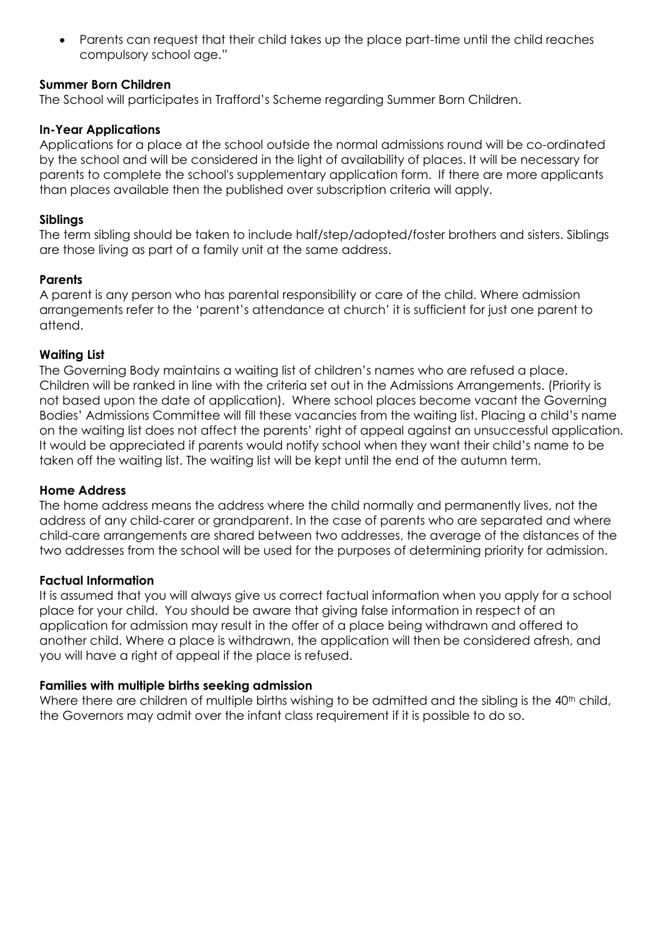Parents can request that their child takes up the place part-time until the child reaches compulsory school age."

# **Summer Born Children**

The School will participates in Trafford's Scheme regarding Summer Born Children.

## **In-Year Applications**

Applications for a place at the school outside the normal admissions round will be co-ordinated by the school and will be considered in the light of availability of places. It will be necessary for parents to complete the school's supplementary application form. If there are more applicants than places available then the published over subscription criteria will apply.

#### **Siblings**

The term sibling should be taken to include half/step/adopted/foster brothers and sisters. Siblings are those living as part of a family unit at the same address.

## **Parents**

A parent is any person who has parental responsibility or care of the child. Where admission arrangements refer to the 'parent's attendance at church' it is sufficient for just one parent to attend.

## **Waiting List**

The Governing Body maintains a waiting list of children's names who are refused a place. Children will be ranked in line with the criteria set out in the Admissions Arrangements. (Priority is not based upon the date of application). Where school places become vacant the Governing Bodies' Admissions Committee will fill these vacancies from the waiting list. Placing a child's name on the waiting list does not affect the parents' right of appeal against an unsuccessful application. It would be appreciated if parents would notify school when they want their child's name to be taken off the waiting list. The waiting list will be kept until the end of the autumn term.

#### **Home Address**

The home address means the address where the child normally and permanently lives, not the address of any child-carer or grandparent. In the case of parents who are separated and where child-care arrangements are shared between two addresses, the average of the distances of the two addresses from the school will be used for the purposes of determining priority for admission.

# **Factual Information**

It is assumed that you will always give us correct factual information when you apply for a school place for your child. You should be aware that giving false information in respect of an application for admission may result in the offer of a place being withdrawn and offered to another child. Where a place is withdrawn, the application will then be considered afresh, and you will have a right of appeal if the place is refused.

#### **Families with multiple births seeking admission**

Where there are children of multiple births wishing to be admitted and the sibling is the 40<sup>th</sup> child, the Governors may admit over the infant class requirement if it is possible to do so.